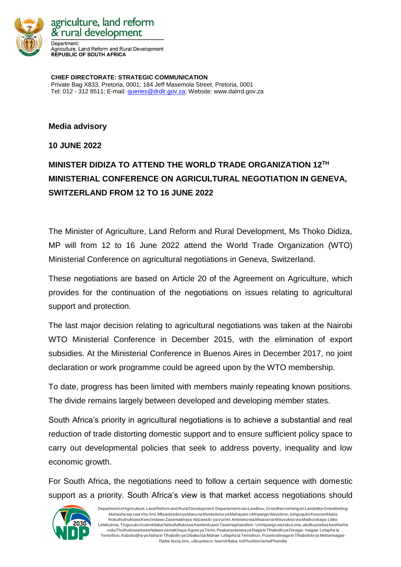

agriculture, land reform & rural development Department: Agriculture, Land Reform and Rural Development **REPUBLIC OF SOUTH AFRICA** 

**CHIEF DIRECTORATE: STRATEGIC COMMUNICATION** Private Bag X833, Pretoria, 0001; 184 Jeff Masemola Street, Pretoria, 0001 Tel: 012 - 312 8511; E-mail: [queries@drdlr.gov.za;](mailto:queries@drdlr.gov.za) Website: www.dalrrd.gov.za

**Media advisory** 

**10 JUNE 2022**

## **MINISTER DIDIZA TO ATTEND THE WORLD TRADE ORGANIZATION 12TH MINISTERIAL CONFERENCE ON AGRICULTURAL NEGOTIATION IN GENEVA, SWITZERLAND FROM 12 TO 16 JUNE 2022**

The Minister of Agriculture, Land Reform and Rural Development, Ms Thoko Didiza, MP will from 12 to 16 June 2022 attend the World Trade Organization (WTO) Ministerial Conference on agricultural negotiations in Geneva, Switzerland.

These negotiations are based on Article 20 of the Agreement on Agriculture, which provides for the continuation of the negotiations on issues relating to agricultural support and protection.

The last major decision relating to agricultural negotiations was taken at the Nairobi WTO Ministerial Conference in December 2015, with the elimination of export subsidies. At the Ministerial Conference in Buenos Aires in December 2017, no joint declaration or work programme could be agreed upon by the WTO membership.

To date, progress has been limited with members mainly repeating known positions. The divide remains largely between developed and developing member states.

South Africa's priority in agricultural negotiations is to achieve a substantial and real reduction of trade distorting domestic support and to ensure sufficient policy space to carry out developmental policies that seek to address poverty, inequality and low economic growth.

For South Africa, the negotiations need to follow a certain sequence with domestic support as a priority. South Africa's view is that market access negotiations should



DepartmentofAgriculture,LandReformand RuralDevelopment <sup>l</sup>Departement vanLandbou,GrondhervormingenLandelikeOntwikkeling <sup>l</sup> MuhashowazwaVhu limi,MbuedzedzoyaMavunaMveledzisoyaMahayani <sup>l</sup>uMnyangoWezolimo,IzinguqukoKwezomhlaba NokuthuthukiswaKwezindawoZasemakhayalNdzawulo yaVurimi,Antswisowa MisavanaNhluvukisowa Matikoxikaya <sup>l</sup>Litiko Letekulima, Tingucuko Kutemhlaba Nekutfutfukiswa Kwetindzawo Tasemaphandleni (UmNyangowezokuLima, ukuBuyiselwa kweNarha nokuThuthukiswa kweeNdawo zemaKhaya Kgoro ya Temo, Peakanyoleswa ya Nagale Tlhabollo ya Dinaga- magae Lefapha la Temothuo, Kabobotjha ya Naha le Tlhabollo ya Dibaka tsa Mahae Lefapha la Temothuo, Pusetsodinaga le Tlhabololo ya Metsemagae ISebe lezoLimo, uBuyekezo lwemiHlaba noPhuhlisolamaPhandle